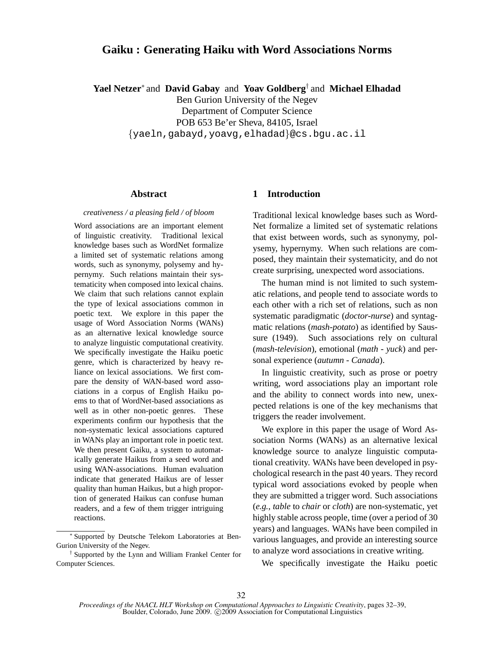# **Gaiku : Generating Haiku with Word Associations Norms**

**Yael Netzer**<sup>∗</sup> and **David Gabay** and **Yoav Goldberg**† and **Michael Elhadad**

Ben Gurion University of the Negev

Department of Computer Science

POB 653 Be'er Sheva, 84105, Israel

{yaeln,gabayd,yoavg,elhadad}@cs.bgu.ac.il

## **Abstract**

#### *creativeness / a pleasing field / of bloom*

Word associations are an important element of linguistic creativity. Traditional lexical knowledge bases such as WordNet formalize a limited set of systematic relations among words, such as synonymy, polysemy and hypernymy. Such relations maintain their systematicity when composed into lexical chains. We claim that such relations cannot explain the type of lexical associations common in poetic text. We explore in this paper the usage of Word Association Norms (WANs) as an alternative lexical knowledge source to analyze linguistic computational creativity. We specifically investigate the Haiku poetic genre, which is characterized by heavy reliance on lexical associations. We first compare the density of WAN-based word associations in a corpus of English Haiku poems to that of WordNet-based associations as well as in other non-poetic genres. These experiments confirm our hypothesis that the non-systematic lexical associations captured in WANs play an important role in poetic text. We then present Gaiku, a system to automatically generate Haikus from a seed word and using WAN-associations. Human evaluation indicate that generated Haikus are of lesser quality than human Haikus, but a high proportion of generated Haikus can confuse human readers, and a few of them trigger intriguing reactions.

# **1 Introduction**

Traditional lexical knowledge bases such as Word-Net formalize a limited set of systematic relations that exist between words, such as synonymy, polysemy, hypernymy. When such relations are composed, they maintain their systematicity, and do not create surprising, unexpected word associations.

The human mind is not limited to such systematic relations, and people tend to associate words to each other with a rich set of relations, such as non systematic paradigmatic (*doctor-nurse*) and syntagmatic relations (*mash-potato*) as identified by Saussure (1949). Such associations rely on cultural (*mash-television*), emotional (*math - yuck*) and personal experience (*autumn - Canada*).

In linguistic creativity, such as prose or poetry writing, word associations play an important role and the ability to connect words into new, unexpected relations is one of the key mechanisms that triggers the reader involvement.

We explore in this paper the usage of Word Association Norms (WANs) as an alternative lexical knowledge source to analyze linguistic computational creativity. WANs have been developed in psychological research in the past 40 years. They record typical word associations evoked by people when they are submitted a trigger word. Such associations (*e.g.*, *table* to *chair* or *cloth*) are non-systematic, yet highly stable across people, time (over a period of 30 years) and languages. WANs have been compiled in various languages, and provide an interesting source to analyze word associations in creative writing.

We specifically investigate the Haiku poetic

<sup>∗</sup> Supported by Deutsche Telekom Laboratories at Ben-Gurion University of the Negev.

<sup>†</sup> Supported by the Lynn and William Frankel Center for Computer Sciences.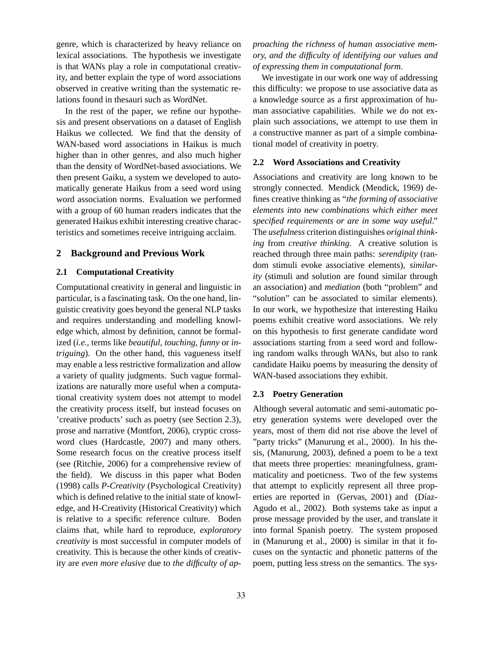genre, which is characterized by heavy reliance on lexical associations. The hypothesis we investigate is that WANs play a role in computational creativity, and better explain the type of word associations observed in creative writing than the systematic relations found in thesauri such as WordNet.

In the rest of the paper, we refine our hypothesis and present observations on a dataset of English Haikus we collected. We find that the density of WAN-based word associations in Haikus is much higher than in other genres, and also much higher than the density of WordNet-based associations. We then present Gaiku, a system we developed to automatically generate Haikus from a seed word using word association norms. Evaluation we performed with a group of 60 human readers indicates that the generated Haikus exhibit interesting creative characteristics and sometimes receive intriguing acclaim.

## **2 Background and Previous Work**

## **2.1 Computational Creativity**

Computational creativity in general and linguistic in particular, is a fascinating task. On the one hand, linguistic creativity goes beyond the general NLP tasks and requires understanding and modelling knowledge which, almost by definition, cannot be formalized (*i.e.*, terms like *beautiful, touching, funny* or *intriguing*). On the other hand, this vagueness itself may enable a less restrictive formalization and allow a variety of quality judgments. Such vague formalizations are naturally more useful when a computational creativity system does not attempt to model the creativity process itself, but instead focuses on 'creative products' such as poetry (see Section 2.3), prose and narrative (Montfort, 2006), cryptic crossword clues (Hardcastle, 2007) and many others. Some research focus on the creative process itself (see (Ritchie, 2006) for a comprehensive review of the field). We discuss in this paper what Boden (1998) calls *P-Creativity* (Psychological Creativity) which is defined relative to the initial state of knowledge, and H-Creativity (Historical Creativity) which is relative to a specific reference culture. Boden claims that, while hard to reproduce, *exploratory creativity* is most successful in computer models of creativity. This is because the other kinds of creativity are *even more elusive* due to *the difficulty of ap-* *proaching the richness of human associative memory, and the difficulty of identifying our values and of expressing them in computational form.*

We investigate in our work one way of addressing this difficulty: we propose to use associative data as a knowledge source as a first approximation of human associative capabilities. While we do not explain such associations, we attempt to use them in a constructive manner as part of a simple combinational model of creativity in poetry.

## **2.2 Word Associations and Creativity**

Associations and creativity are long known to be strongly connected. Mendick (Mendick, 1969) defines creative thinking as "*the forming of associative elements into new combinations which either meet specified requirements or are in some way useful*." The *usefulness* criterion distinguishes *original thinking* from *creative thinking*. A creative solution is reached through three main paths: *serendipity* (random stimuli evoke associative elements), *similarity* (stimuli and solution are found similar through an association) and *mediation* (both "problem" and "solution" can be associated to similar elements). In our work, we hypothesize that interesting Haiku poems exhibit creative word associations. We rely on this hypothesis to first generate candidate word associations starting from a seed word and following random walks through WANs, but also to rank candidate Haiku poems by measuring the density of WAN-based associations they exhibit.

## **2.3 Poetry Generation**

Although several automatic and semi-automatic poetry generation systems were developed over the years, most of them did not rise above the level of "party tricks" (Manurung et al., 2000). In his thesis, (Manurung, 2003), defined a poem to be a text that meets three properties: meaningfulness, grammaticality and poeticness. Two of the few systems that attempt to explicitly represent all three properties are reported in (Gervas, 2001) and (Díaz-Agudo et al., 2002). Both systems take as input a prose message provided by the user, and translate it into formal Spanish poetry. The system proposed in (Manurung et al., 2000) is similar in that it focuses on the syntactic and phonetic patterns of the poem, putting less stress on the semantics. The sys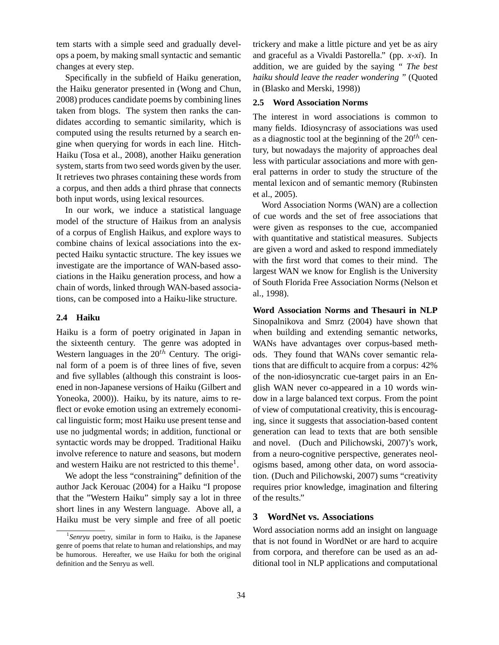tem starts with a simple seed and gradually develops a poem, by making small syntactic and semantic changes at every step.

Specifically in the subfield of Haiku generation, the Haiku generator presented in (Wong and Chun, 2008) produces candidate poems by combining lines taken from blogs. The system then ranks the candidates according to semantic similarity, which is computed using the results returned by a search engine when querying for words in each line. Hitch-Haiku (Tosa et al., 2008), another Haiku generation system, starts from two seed words given by the user. It retrieves two phrases containing these words from a corpus, and then adds a third phrase that connects both input words, using lexical resources.

In our work, we induce a statistical language model of the structure of Haikus from an analysis of a corpus of English Haikus, and explore ways to combine chains of lexical associations into the expected Haiku syntactic structure. The key issues we investigate are the importance of WAN-based associations in the Haiku generation process, and how a chain of words, linked through WAN-based associations, can be composed into a Haiku-like structure.

## **2.4 Haiku**

Haiku is a form of poetry originated in Japan in the sixteenth century. The genre was adopted in Western languages in the  $20<sup>th</sup>$  Century. The original form of a poem is of three lines of five, seven and five syllables (although this constraint is loosened in non-Japanese versions of Haiku (Gilbert and Yoneoka, 2000)). Haiku, by its nature, aims to reflect or evoke emotion using an extremely economical linguistic form; most Haiku use present tense and use no judgmental words; in addition, functional or syntactic words may be dropped. Traditional Haiku involve reference to nature and seasons, but modern and western Haiku are not restricted to this theme<sup>1</sup>.

We adopt the less "constraining" definition of the author Jack Kerouac (2004) for a Haiku "I propose that the "Western Haiku" simply say a lot in three short lines in any Western language. Above all, a Haiku must be very simple and free of all poetic

trickery and make a little picture and yet be as airy and graceful as a Vivaldi Pastorella." (pp. *x-xi*). In addition, we are guided by the saying *" The best haiku should leave the reader wondering "* (Quoted in (Blasko and Merski, 1998))

# **2.5 Word Association Norms**

The interest in word associations is common to many fields. Idiosyncrasy of associations was used as a diagnostic tool at the beginning of the  $20^{th}$  century, but nowadays the majority of approaches deal less with particular associations and more with general patterns in order to study the structure of the mental lexicon and of semantic memory (Rubinsten et al., 2005).

Word Association Norms (WAN) are a collection of cue words and the set of free associations that were given as responses to the cue, accompanied with quantitative and statistical measures. Subjects are given a word and asked to respond immediately with the first word that comes to their mind. The largest WAN we know for English is the University of South Florida Free Association Norms (Nelson et al., 1998).

**Word Association Norms and Thesauri in NLP** Sinopalnikova and Smrz (2004) have shown that when building and extending semantic networks, WANs have advantages over corpus-based methods. They found that WANs cover semantic relations that are difficult to acquire from a corpus: 42% of the non-idiosyncratic cue-target pairs in an English WAN never co-appeared in a 10 words window in a large balanced text corpus. From the point of view of computational creativity, this is encouraging, since it suggests that association-based content generation can lead to texts that are both sensible and novel. (Duch and Pilichowski, 2007)'s work, from a neuro-cognitive perspective, generates neologisms based, among other data, on word association. (Duch and Pilichowski, 2007) sums "creativity requires prior knowledge, imagination and filtering of the results."

# **3 WordNet vs. Associations**

Word association norms add an insight on language that is not found in WordNet or are hard to acquire from corpora, and therefore can be used as an additional tool in NLP applications and computational

<sup>1</sup> *Senryu* poetry, similar in form to Haiku, is the Japanese genre of poems that relate to human and relationships, and may be humorous. Hereafter, we use Haiku for both the original definition and the Senryu as well.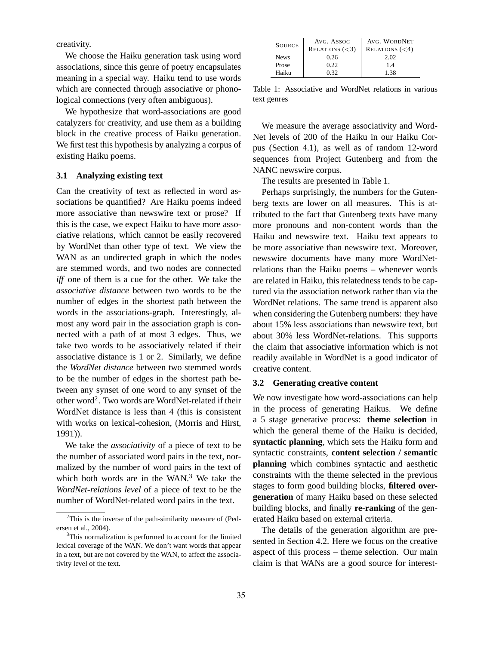creativity.

We choose the Haiku generation task using word associations, since this genre of poetry encapsulates meaning in a special way. Haiku tend to use words which are connected through associative or phonological connections (very often ambiguous).

We hypothesize that word-associations are good catalyzers for creativity, and use them as a building block in the creative process of Haiku generation. We first test this hypothesis by analyzing a corpus of existing Haiku poems.

#### **3.1 Analyzing existing text**

Can the creativity of text as reflected in word associations be quantified? Are Haiku poems indeed more associative than newswire text or prose? If this is the case, we expect Haiku to have more associative relations, which cannot be easily recovered by WordNet than other type of text. We view the WAN as an undirected graph in which the nodes are stemmed words, and two nodes are connected *iff* one of them is a cue for the other. We take the *associative distance* between two words to be the number of edges in the shortest path between the words in the associations-graph. Interestingly, almost any word pair in the association graph is connected with a path of at most 3 edges. Thus, we take two words to be associatively related if their associative distance is 1 or 2. Similarly, we define the *WordNet distance* between two stemmed words to be the number of edges in the shortest path between any synset of one word to any synset of the other word<sup>2</sup>. Two words are WordNet-related if their WordNet distance is less than 4 (this is consistent with works on lexical-cohesion, (Morris and Hirst, 1991)).

We take the *associativity* of a piece of text to be the number of associated word pairs in the text, normalized by the number of word pairs in the text of which both words are in the  $WAN<sup>3</sup>$ . We take the *WordNet-relations level* of a piece of text to be the number of WordNet-related word pairs in the text.

| <b>SOURCE</b> | AVG. ASSOC<br>RELATIONS $(<$ 3) | AVG. WORDNET<br>RELATIONS $(< 4)$ |
|---------------|---------------------------------|-----------------------------------|
| <b>News</b>   | 0.26                            | 2.02                              |
| Prose         | 0.22                            | 14                                |
| Haiku         | 0.32                            | 1.38                              |

Table 1: Associative and WordNet relations in various text genres

We measure the average associativity and Word-Net levels of 200 of the Haiku in our Haiku Corpus (Section 4.1), as well as of random 12-word sequences from Project Gutenberg and from the NANC newswire corpus.

The results are presented in Table 1.

Perhaps surprisingly, the numbers for the Gutenberg texts are lower on all measures. This is attributed to the fact that Gutenberg texts have many more pronouns and non-content words than the Haiku and newswire text. Haiku text appears to be more associative than newswire text. Moreover, newswire documents have many more WordNetrelations than the Haiku poems – whenever words are related in Haiku, this relatedness tends to be captured via the association network rather than via the WordNet relations. The same trend is apparent also when considering the Gutenberg numbers: they have about 15% less associations than newswire text, but about 30% less WordNet-relations. This supports the claim that associative information which is not readily available in WordNet is a good indicator of creative content.

#### **3.2 Generating creative content**

We now investigate how word-associations can help in the process of generating Haikus. We define a 5 stage generative process: **theme selection** in which the general theme of the Haiku is decided, **syntactic planning**, which sets the Haiku form and syntactic constraints, **content selection / semantic planning** which combines syntactic and aesthetic constraints with the theme selected in the previous stages to form good building blocks, **filtered overgeneration** of many Haiku based on these selected building blocks, and finally **re-ranking** of the generated Haiku based on external criteria.

The details of the generation algorithm are presented in Section 4.2. Here we focus on the creative aspect of this process – theme selection. Our main claim is that WANs are a good source for interest-

<sup>2</sup>This is the inverse of the path-similarity measure of (Pedersen et al., 2004).

<sup>&</sup>lt;sup>3</sup>This normalization is performed to account for the limited lexical coverage of the WAN. We don't want words that appear in a text, but are not covered by the WAN, to affect the associativity level of the text.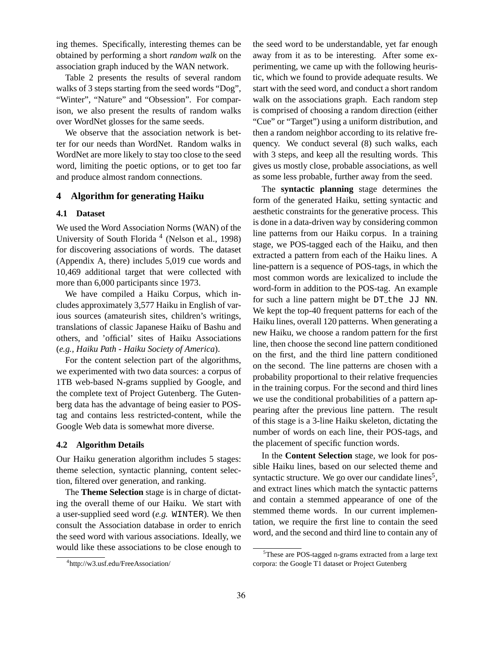ing themes. Specifically, interesting themes can be obtained by performing a short *random walk* on the association graph induced by the WAN network.

Table 2 presents the results of several random walks of 3 steps starting from the seed words "Dog", "Winter", "Nature" and "Obsession". For comparison, we also present the results of random walks over WordNet glosses for the same seeds.

We observe that the association network is better for our needs than WordNet. Random walks in WordNet are more likely to stay too close to the seed word, limiting the poetic options, or to get too far and produce almost random connections.

#### **4 Algorithm for generating Haiku**

#### **4.1 Dataset**

We used the Word Association Norms (WAN) of the University of South Florida<sup>4</sup> (Nelson et al., 1998) for discovering associations of words. The dataset (Appendix A, there) includes 5,019 cue words and 10,469 additional target that were collected with more than 6,000 participants since 1973.

We have compiled a Haiku Corpus, which includes approximately 3,577 Haiku in English of various sources (amateurish sites, children's writings, translations of classic Japanese Haiku of Bashu and others, and 'official' sites of Haiku Associations (*e.g., Haiku Path - Haiku Society of America*).

For the content selection part of the algorithms, we experimented with two data sources: a corpus of 1TB web-based N-grams supplied by Google, and the complete text of Project Gutenberg. The Gutenberg data has the advantage of being easier to POStag and contains less restricted-content, while the Google Web data is somewhat more diverse.

## **4.2 Algorithm Details**

Our Haiku generation algorithm includes 5 stages: theme selection, syntactic planning, content selection, filtered over generation, and ranking.

The **Theme Selection** stage is in charge of dictating the overall theme of our Haiku. We start with a user-supplied seed word (*e.g.* WINTER). We then consult the Association database in order to enrich the seed word with various associations. Ideally, we would like these associations to be close enough to

the seed word to be understandable, yet far enough away from it as to be interesting. After some experimenting, we came up with the following heuristic, which we found to provide adequate results. We start with the seed word, and conduct a short random walk on the associations graph. Each random step is comprised of choosing a random direction (either "Cue" or "Target") using a uniform distribution, and then a random neighbor according to its relative frequency. We conduct several (8) such walks, each with 3 steps, and keep all the resulting words. This gives us mostly close, probable associations, as well as some less probable, further away from the seed.

The **syntactic planning** stage determines the form of the generated Haiku, setting syntactic and aesthetic constraints for the generative process. This is done in a data-driven way by considering common line patterns from our Haiku corpus. In a training stage, we POS-tagged each of the Haiku, and then extracted a pattern from each of the Haiku lines. A line-pattern is a sequence of POS-tags, in which the most common words are lexicalized to include the word-form in addition to the POS-tag. An example for such a line pattern might be DT<sub>-the JJ</sub> NN. We kept the top-40 frequent patterns for each of the Haiku lines, overall 120 patterns. When generating a new Haiku, we choose a random pattern for the first line, then choose the second line pattern conditioned on the first, and the third line pattern conditioned on the second. The line patterns are chosen with a probability proportional to their relative frequencies in the training corpus. For the second and third lines we use the conditional probabilities of a pattern appearing after the previous line pattern. The result of this stage is a 3-line Haiku skeleton, dictating the number of words on each line, their POS-tags, and the placement of specific function words.

In the **Content Selection** stage, we look for possible Haiku lines, based on our selected theme and syntactic structure. We go over our candidate lines<sup>5</sup>, and extract lines which match the syntactic patterns and contain a stemmed appearance of one of the stemmed theme words. In our current implementation, we require the first line to contain the seed word, and the second and third line to contain any of

<sup>4</sup> http://w3.usf.edu/FreeAssociation/

<sup>5</sup>These are POS-tagged n-grams extracted from a large text corpora: the Google T1 dataset or Project Gutenberg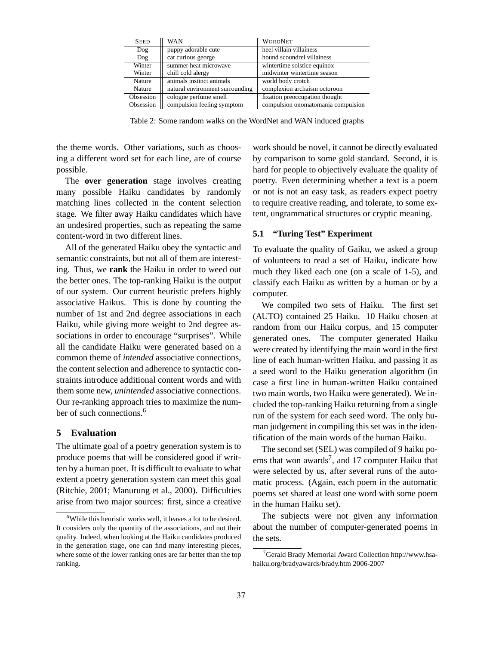| <b>SEED</b> | <b>WAN</b>                      | <b>WORDNET</b>                     |
|-------------|---------------------------------|------------------------------------|
| Dog         | puppy adorable cute             | heel villain villainess            |
| Dog         | cat curious george              | hound scoundrel villainess         |
| Winter      | summer heat microwave           | wintertime solstice equinox        |
| Winter      | chill cold alergy               | midwinter wintertime season        |
| Nature      | animals instinct animals        | world body crotch                  |
| Nature      | natural environment surrounding | complexion archaism octoroon       |
| Obsession   | cologne perfume smell           | fixation preoccupation thought     |
| Obsession   | compulsion feeling symptom      | compulsion onomatomania compulsion |

Table 2: Some random walks on the WordNet and WAN induced graphs

the theme words. Other variations, such as choosing a different word set for each line, are of course possible.

The **over generation** stage involves creating many possible Haiku candidates by randomly matching lines collected in the content selection stage. We filter away Haiku candidates which have an undesired properties, such as repeating the same content-word in two different lines.

All of the generated Haiku obey the syntactic and semantic constraints, but not all of them are interesting. Thus, we **rank** the Haiku in order to weed out the better ones. The top-ranking Haiku is the output of our system. Our current heuristic prefers highly associative Haikus. This is done by counting the number of 1st and 2nd degree associations in each Haiku, while giving more weight to 2nd degree associations in order to encourage "surprises". While all the candidate Haiku were generated based on a common theme of *intended* associative connections, the content selection and adherence to syntactic constraints introduce additional content words and with them some new, *unintended* associative connections. Our re-ranking approach tries to maximize the number of such connections.<sup>6</sup>

# **5 Evaluation**

The ultimate goal of a poetry generation system is to produce poems that will be considered good if written by a human poet. It is difficult to evaluate to what extent a poetry generation system can meet this goal (Ritchie, 2001; Manurung et al., 2000). Difficulties arise from two major sources: first, since a creative

work should be novel, it cannot be directly evaluated by comparison to some gold standard. Second, it is hard for people to objectively evaluate the quality of poetry. Even determining whether a text is a poem or not is not an easy task, as readers expect poetry to require creative reading, and tolerate, to some extent, ungrammatical structures or cryptic meaning.

## **5.1 "Turing Test" Experiment**

To evaluate the quality of Gaiku, we asked a group of volunteers to read a set of Haiku, indicate how much they liked each one (on a scale of 1-5), and classify each Haiku as written by a human or by a computer.

We compiled two sets of Haiku. The first set (AUTO) contained 25 Haiku. 10 Haiku chosen at random from our Haiku corpus, and 15 computer generated ones. The computer generated Haiku were created by identifying the main word in the first line of each human-written Haiku, and passing it as a seed word to the Haiku generation algorithm (in case a first line in human-written Haiku contained two main words, two Haiku were generated). We included the top-ranking Haiku returning from a single run of the system for each seed word. The only human judgement in compiling this set was in the identification of the main words of the human Haiku.

The second set (SEL) was compiled of 9 haiku poems that won awards<sup>7</sup>, and 17 computer Haiku that were selected by us, after several runs of the automatic process. (Again, each poem in the automatic poems set shared at least one word with some poem in the human Haiku set).

The subjects were not given any information about the number of computer-generated poems in the sets.

<sup>6</sup>While this heuristic works well, it leaves a lot to be desired. It considers only the quantity of the associations, and not their quality. Indeed, when looking at the Haiku candidates produced in the generation stage, one can find many interesting pieces, where some of the lower ranking ones are far better than the top ranking.

<sup>&</sup>lt;sup>7</sup>Gerald Brady Memorial Award Collection http://www.hsahaiku.org/bradyawards/brady.htm 2006-2007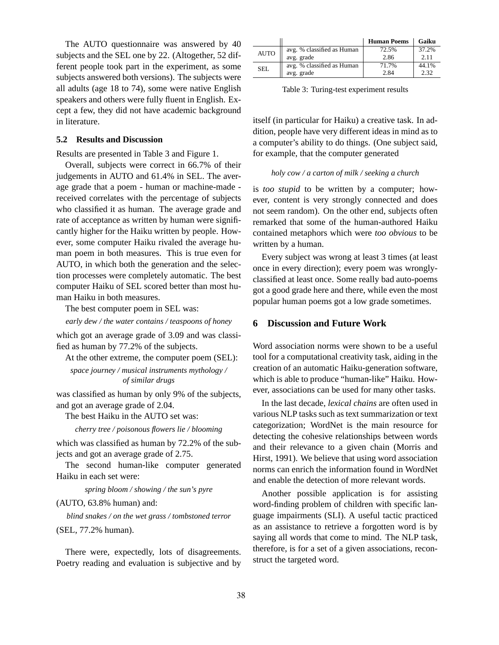The AUTO questionnaire was answered by 40 subjects and the SEL one by 22. (Altogether, 52 different people took part in the experiment, as some subjects answered both versions). The subjects were all adults (age 18 to 74), some were native English speakers and others were fully fluent in English. Except a few, they did not have academic background in literature.

## **5.2 Results and Discussion**

Results are presented in Table 3 and Figure 1.

Overall, subjects were correct in 66.7% of their judgements in AUTO and 61.4% in SEL. The average grade that a poem - human or machine-made received correlates with the percentage of subjects who classified it as human. The average grade and rate of acceptance as written by human were significantly higher for the Haiku written by people. However, some computer Haiku rivaled the average human poem in both measures. This is true even for AUTO, in which both the generation and the selection processes were completely automatic. The best computer Haiku of SEL scored better than most human Haiku in both measures.

The best computer poem in SEL was:

*early dew / the water contains / teaspoons of honey*

which got an average grade of 3.09 and was classified as human by 77.2% of the subjects.

At the other extreme, the computer poem (SEL):

*space journey / musical instruments mythology / of similar drugs*

was classified as human by only 9% of the subjects, and got an average grade of 2.04.

The best Haiku in the AUTO set was:

*cherry tree / poisonous flowers lie / blooming*

which was classified as human by 72.2% of the subjects and got an average grade of 2.75.

The second human-like computer generated Haiku in each set were:

*spring bloom / showing / the sun's pyre*

(AUTO, 63.8% human) and:

*blind snakes / on the wet grass / tombstoned terror*

(SEL, 77.2% human).

There were, expectedly, lots of disagreements. Poetry reading and evaluation is subjective and by

|             |                            | <b>Human Poems</b> | Gaiku |
|-------------|----------------------------|--------------------|-------|
| <b>AUTO</b> | avg. % classified as Human | 72.5%              | 37.2% |
|             | avg. grade                 | 2.86               | 2.11  |
| SEL         | avg. % classified as Human | 71.7%              | 44.1% |
|             | avg. grade                 | 2.84               | 2.32  |

Table 3: Turing-test experiment results

itself (in particular for Haiku) a creative task. In addition, people have very different ideas in mind as to a computer's ability to do things. (One subject said, for example, that the computer generated

#### *holy cow / a carton of milk / seeking a church*

is *too stupid* to be written by a computer; however, content is very strongly connected and does not seem random). On the other end, subjects often remarked that some of the human-authored Haiku contained metaphors which were *too obvious* to be written by a human.

Every subject was wrong at least 3 times (at least once in every direction); every poem was wronglyclassified at least once. Some really bad auto-poems got a good grade here and there, while even the most popular human poems got a low grade sometimes.

## **6 Discussion and Future Work**

Word association norms were shown to be a useful tool for a computational creativity task, aiding in the creation of an automatic Haiku-generation software, which is able to produce "human-like" Haiku. However, associations can be used for many other tasks.

In the last decade, *lexical chains* are often used in various NLP tasks such as text summarization or text categorization; WordNet is the main resource for detecting the cohesive relationships between words and their relevance to a given chain (Morris and Hirst, 1991). We believe that using word association norms can enrich the information found in WordNet and enable the detection of more relevant words.

Another possible application is for assisting word-finding problem of children with specific language impairments (SLI). A useful tactic practiced as an assistance to retrieve a forgotten word is by saying all words that come to mind. The NLP task, therefore, is for a set of a given associations, reconstruct the targeted word.